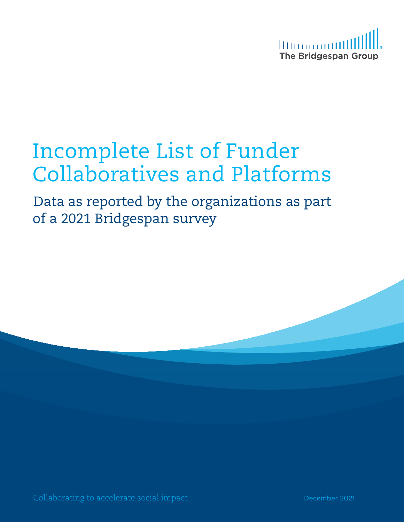

# Incomplete List of Funder Collaboratives and Platforms

Data as reported by the organizations as part of a 2021 Bridgespan survey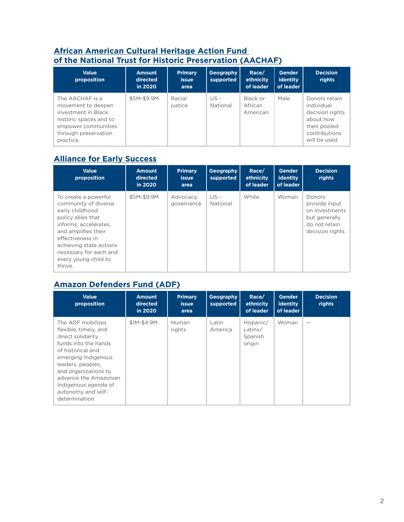#### **[African American Cultural Heritage Action Fund](https://savingplaces.org/african-american-cultural-heritage#.YbjtAb3MI2w)  [of the National Trust for Historic Preservation](https://savingplaces.org/african-american-cultural-heritage#.YbjtAb3MI2w) (AACHAF)**

| <b>Value</b><br>proposition                                                                                                                        | <b>Amount</b><br>directed<br>in 2020 | <b>Primary</b><br><b>issue</b><br>area | Geography<br>supported | Race/<br>ethnicity<br>of leader | <b>Gender</b><br><b>identity</b><br>of leader | <b>Decision</b><br>rights                                                                                    |
|----------------------------------------------------------------------------------------------------------------------------------------------------|--------------------------------------|----------------------------------------|------------------------|---------------------------------|-----------------------------------------------|--------------------------------------------------------------------------------------------------------------|
| The AACHAF is a<br>movement to deepen<br>investment in Black<br>historic spaces and to<br>empower communities<br>through preservation<br>practice. | \$5M-\$9.9M                          | Racial<br>justice                      | $US -$<br>National     | Black or<br>African<br>American | Male                                          | Donors retain<br>individual<br>decision rights<br>about how<br>their pooled<br>contributions<br>will be used |

## **[Alliance for Early Success](https://earlysuccess.org/)**

| <b>Value</b><br>proposition                                                                                                                                                                                                                       | <b>Amount</b><br>directed<br>in 2020 | <b>Primary</b><br><b>issue</b><br>area | Geography<br>supported | Race/<br>ethnicity<br>of leader | Gender<br>identity<br>of leader | <b>Decision</b><br>rights                                                                      |
|---------------------------------------------------------------------------------------------------------------------------------------------------------------------------------------------------------------------------------------------------|--------------------------------------|----------------------------------------|------------------------|---------------------------------|---------------------------------|------------------------------------------------------------------------------------------------|
| To create a powerful<br>community of diverse<br>early childhood<br>policy allies that<br>informs, accelerates.<br>and amplifies their<br>effectiveness in<br>achieving state actions<br>necessary for each and<br>every young child to<br>thrive. | \$5M-\$9.9M                          | Advocacy,<br>governance                | US -<br>National       | White                           | Woman                           | Donors<br>provide input<br>on investments<br>but generally<br>do not retain<br>decision rights |

## **[Amazon Defenders Fund \(ADF\)](https://amazonwatch.org/get-involved/amazon-defenders-fund)**

| <b>Value</b><br>proposition                                                                                                                                                                                                                                               | <b>Amount</b><br>directed<br>in 2020 | <b>Primary</b><br><i>issue</i><br>area | Geography<br>supported | Race/<br>ethnicity<br>of leader              | Gender<br>identity<br>of leader | <b>Decision</b><br>rights |
|---------------------------------------------------------------------------------------------------------------------------------------------------------------------------------------------------------------------------------------------------------------------------|--------------------------------------|----------------------------------------|------------------------|----------------------------------------------|---------------------------------|---------------------------|
| The ADF mobilizes<br>flexible, timely, and<br>direct solidarity<br>funds into the hands<br>of historical and<br>emerging Indigenous<br>leaders, peoples,<br>and organizations to<br>advance the Amazonian<br>Indigenous agenda of<br>autonomy and self-<br>determination. | \$1M-\$4.9M                          | Human<br>rights                        | Latin<br>America       | Hispanic/<br>Latin $x/$<br>Spanish<br>origin | Woman                           |                           |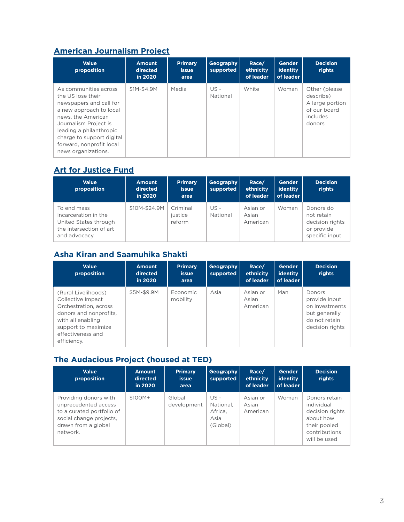## **[American Journalism Project](https://www.theajp.org/)**

| <b>Value</b><br>proposition                                                                                                                                                                                                                                | <b>Amount</b><br>directed<br>in 2020 | <b>Primary</b><br><i>issue</i><br>area | Geography<br>supported | Race/<br>ethnicity<br>of leader | <b>Gender</b><br>identity<br>of leader | <b>Decision</b><br>rights                                                            |
|------------------------------------------------------------------------------------------------------------------------------------------------------------------------------------------------------------------------------------------------------------|--------------------------------------|----------------------------------------|------------------------|---------------------------------|----------------------------------------|--------------------------------------------------------------------------------------|
| As communities across<br>the US lose their<br>newspapers and call for<br>a new approach to local<br>news, the American<br>Journalism Project is<br>leading a philanthropic<br>charge to support digital<br>forward, nonprofit local<br>news organizations. | \$1M-\$4.9M                          | Media                                  | $US -$<br>National     | White                           | Woman                                  | Other (please)<br>describe)<br>A large portion<br>of our board<br>includes<br>donors |

## **[Art for Justice Fund](https://artforjusticefund.org/)**

| <b>Value</b><br>proposition                                                                              | <b>Amount</b><br>directed<br>in 2020 | <b>Primary</b><br><b>issue</b><br>area | Geography<br>supported | Race/<br>ethnicity<br>of leader | <b>Gender</b><br>identity<br>of leader | <b>Decision</b><br>rights                                                  |
|----------------------------------------------------------------------------------------------------------|--------------------------------------|----------------------------------------|------------------------|---------------------------------|----------------------------------------|----------------------------------------------------------------------------|
| To end mass<br>incarceration in the<br>United States through<br>the intersection of art<br>and advocacy. | \$10M-\$24.9M                        | Criminal<br>justice<br>reform          | $US -$<br>National     | Asian or<br>Asian<br>American   | Woman                                  | Donors do<br>not retain<br>decision rights<br>or provide<br>specific input |

# **Asha Kiran and Saamuhika Shakti**

| <b>Value</b><br>proposition                                                                                                                                                 | <b>Amount</b><br>directed<br>in 2020 | <b>Primary</b><br>issue<br>area | Geography<br>supported | Race/<br>ethnicity<br>of leader | Gender<br>identity<br>of leader | <b>Decision</b><br>rights                                                                      |
|-----------------------------------------------------------------------------------------------------------------------------------------------------------------------------|--------------------------------------|---------------------------------|------------------------|---------------------------------|---------------------------------|------------------------------------------------------------------------------------------------|
| (Rural Livelihoods)<br>Collective Impact<br>Orchestration, across<br>donors and nonprofits.<br>with all enabling<br>support to maximize<br>effectiveness and<br>efficiency. | \$5M-\$9.9M                          | Economic<br>mobility            | Asia                   | Asian or<br>Asian<br>American   | Man                             | Donors<br>provide input<br>on investments<br>but generally<br>do not retain<br>decision rights |

## **[The Audacious Project \(housed at TED\)](https://audaciousproject.org/)**

| <b>Value</b><br>proposition                                                                                                              | <b>Amount</b><br>directed<br>in 2020 | <b>Primary</b><br><b>issue</b><br>area | Geography<br>supported                             | Race/<br>ethnicity<br>of leader | <b>Gender</b><br>identity<br>of leader | <b>Decision</b><br>rights                                                                                    |
|------------------------------------------------------------------------------------------------------------------------------------------|--------------------------------------|----------------------------------------|----------------------------------------------------|---------------------------------|----------------------------------------|--------------------------------------------------------------------------------------------------------------|
| Providing donors with<br>unprecedented access<br>to a curated portfolio of<br>social change projects.<br>drawn from a global<br>network. | $$100M+$                             | Global<br>development                  | $US -$<br>National.<br>Africa.<br>Asia<br>(Global) | Asian or<br>Asian<br>American   | Woman                                  | Donors retain<br>individual<br>decision rights<br>about how<br>their pooled<br>contributions<br>will be used |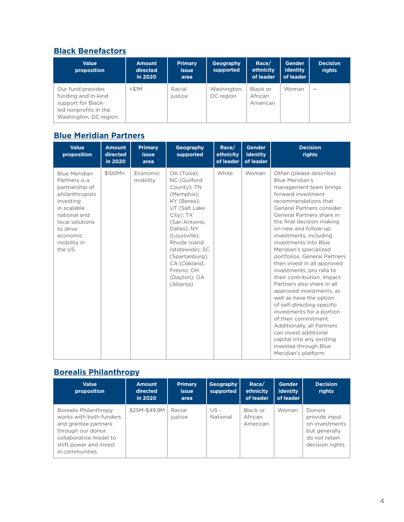#### **[Black Benefactors](https://www.blackbenefactors.org/)**

| <b>Value</b><br>proposition                                                                                       | <b>Amount</b><br>directed<br>in 2020 | <b>Primary</b><br><b>issue</b><br>area | Geography<br>supported   | Race/<br>ethnicity<br>of leader | Gender<br>identity<br>of leader | <b>Decision</b><br>rights |
|-------------------------------------------------------------------------------------------------------------------|--------------------------------------|----------------------------------------|--------------------------|---------------------------------|---------------------------------|---------------------------|
| Our fund provides<br>funding and in-kind<br>support for Black-<br>led nonprofits in the<br>Washington, DC region. | $<$ \$1M                             | Racial<br>justice                      | Washington,<br>DC region | Black or<br>African<br>American | Woman                           |                           |

## **[Blue Meridian Partners](https://www.bluemeridian.org/)**

| <b>Value</b><br>proposition                                                                                                                                                                 | <b>Amount</b><br>directed<br>in 2020 | <b>Primary</b><br><b>issue</b><br>area | Geography<br>supported                                                                                                                                                                                                                                                 | Race/<br>ethnicity<br>of leader | <b>Gender</b><br>identity<br>of leader | <b>Decision</b><br>rights                                                                                                                                                                                                                                                                                                                                                                                                                                                                                                                                                                                                                                                                                                                                    |
|---------------------------------------------------------------------------------------------------------------------------------------------------------------------------------------------|--------------------------------------|----------------------------------------|------------------------------------------------------------------------------------------------------------------------------------------------------------------------------------------------------------------------------------------------------------------------|---------------------------------|----------------------------------------|--------------------------------------------------------------------------------------------------------------------------------------------------------------------------------------------------------------------------------------------------------------------------------------------------------------------------------------------------------------------------------------------------------------------------------------------------------------------------------------------------------------------------------------------------------------------------------------------------------------------------------------------------------------------------------------------------------------------------------------------------------------|
| <b>Blue Meridian</b><br>Partners is a<br>partnership of<br>philanthropists<br>investing<br>in scalable<br>national and<br>local solutions<br>to drive<br>economic<br>mobility in<br>the US. | \$100M+                              | Economic<br>mobility                   | OK (Tulsa);<br>NC (Guilford<br>County); TN<br>(Memphis);<br>KY (Berea);<br>UT (Salt Lake<br>City); TX<br>(San Antonio,<br>Dallas); NY<br>(Louisville);<br>Rhode Island<br>(statewide); SC<br>(Spartanburg);<br>CA (Oakland,<br>Fresno; OH<br>(Dayton); GA<br>(Atlanta) | White                           | Woman                                  | Other (please describe)<br><b>Blue Meridian's</b><br>management team brings<br>forward investment<br>recommendations that<br>General Partners consider.<br>General Partners share in<br>the final decision making<br>on new and follow-up<br>investments, including<br>investments into Blue<br>Meridian's specialized<br>portfolios; General Partners<br>then invest in all approved<br>investments, pro rata to<br>their contribution. Impact<br>Partners also share in all<br>approved investments, as<br>well as have the option<br>of self-directing specific<br>investments for a portion<br>of their commitment.<br>Additionally, all Partners<br>can invest additional<br>capital into any existing<br>investee through Blue<br>Meridian's platform. |

#### **[Borealis Philanthropy](https://borealisphilanthropy.org/)**

| <b>Value</b><br>proposition                                                                                                                                          | <b>Amount</b><br>directed<br>in 2020 | <b>Primary</b><br><i>issue</i><br>area | Geography<br>supported | Race/<br>ethnicity<br>of leader | <b>Gender</b><br>identity<br>of leader | <b>Decision</b><br>rights                                                                      |
|----------------------------------------------------------------------------------------------------------------------------------------------------------------------|--------------------------------------|----------------------------------------|------------------------|---------------------------------|----------------------------------------|------------------------------------------------------------------------------------------------|
| Borealis Philanthropy<br>works with both funders<br>and grantee partners<br>through our donor<br>collaborative model to<br>shift power and invest<br>in communities. | \$25M-\$49.9M                        | Racial<br>justice                      | $US -$<br>National     | Black or<br>African<br>American | Woman                                  | Donors<br>provide input<br>on investments<br>but generally<br>do not retain<br>decision rights |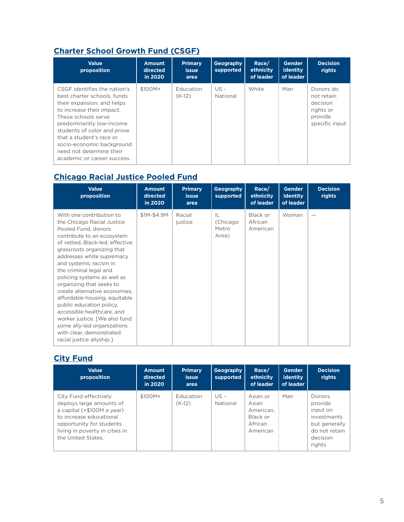## **[Charter School Growth Fund \(CSGF\)](https://chartergrowthfund.org/about/)**

| <b>Value</b><br>proposition                                                                                                                                                                                                                                                                                                  | <b>Amount</b><br>directed<br>in 2020 | <b>Primary</b><br>issue<br>area | Geography<br>supported | Race/<br>ethnicity<br>of leader | <b>Gender</b><br>identity<br>of leader | <b>Decision</b><br>rights                                                     |
|------------------------------------------------------------------------------------------------------------------------------------------------------------------------------------------------------------------------------------------------------------------------------------------------------------------------------|--------------------------------------|---------------------------------|------------------------|---------------------------------|----------------------------------------|-------------------------------------------------------------------------------|
| CSGF identifies the nation's<br>best charter schools, funds<br>their expansion, and helps<br>to increase their impact.<br>These schools serve<br>predominantly low-income<br>students of color and prove<br>that a student's race or<br>socio-economic background<br>need not determine their<br>academic or career success. | \$100M+                              | Education<br>$(K-12)$           | $US -$<br>National     | White                           | Man                                    | Donors do<br>not retain<br>decision<br>rights or<br>provide<br>specific input |

## **[Chicago Racial Justice Pooled Fund](https://www.conantfamilyfoundation.org/chicagoracialjusticepooledfund2020#:~:text=The%20Chicago%20Racial%20Justice%20Pooled%20Fund%20will%20raise,use%20grassroots%20community%20organizing%20as%20a%20primary%20strategy.)**

| <b>Value</b><br>proposition                                                                                                                                                                                                                                                                                                                                                                                                                                                                                                                                                   | <b>Amount</b><br>directed<br>in 2020 | <b>Primary</b><br><b>issue</b><br>area | Geography<br>supported            | Race/<br>ethnicity<br>of leader | <b>Gender</b><br><b>identity</b><br>of leader | <b>Decision</b><br>rights |
|-------------------------------------------------------------------------------------------------------------------------------------------------------------------------------------------------------------------------------------------------------------------------------------------------------------------------------------------------------------------------------------------------------------------------------------------------------------------------------------------------------------------------------------------------------------------------------|--------------------------------------|----------------------------------------|-----------------------------------|---------------------------------|-----------------------------------------------|---------------------------|
| With one contribution to<br>the Chicago Racial Justice<br>Pooled Fund, donors<br>contribute to an ecosystem<br>of vetted, Black-led, effective<br>grassroots organizing that<br>addresses white supremacy<br>and systemic racism in<br>the criminal legal and<br>policing systems as well as<br>organizing that seeks to<br>create alternative economies.<br>affordable housing, equitable<br>public education policy.<br>accessible healthcare, and<br>worker justice. [We also fund<br>some ally-led organizations<br>with clear, demonstrated<br>racial justice allyship.] | \$1M-\$4.9M                          | Racial<br>justice                      | IL<br>(Chicago)<br>Metro<br>Area) | Black or<br>African<br>American | Woman                                         |                           |

## **[City Fund](https://city-fund.org/)**

| <b>Value</b><br>proposition                                                                                                                                                                    | <b>Amount</b><br>directed<br>in 2020 | <b>Primary</b><br><b>issue</b><br>area | Geography<br>supported | Race/<br>ethnicity<br>of leader                                   | <b>Gender</b><br>identity<br>of leader | <b>Decision</b><br>rights                                                                                   |
|------------------------------------------------------------------------------------------------------------------------------------------------------------------------------------------------|--------------------------------------|----------------------------------------|------------------------|-------------------------------------------------------------------|----------------------------------------|-------------------------------------------------------------------------------------------------------------|
| City Fund effectively<br>deploys large amounts of<br>a capital (+\$100M a year)<br>to increase educational<br>opportunity for students<br>living in poverty in cities in<br>the United States. | \$100M+                              | Education<br>$(K-12)$                  | US -<br>National       | Asian or<br>Asian<br>American.<br>Black or<br>African<br>American | Man                                    | <b>Donors</b><br>provide<br>input on<br>investments<br>but generally<br>do not retain<br>decision<br>rights |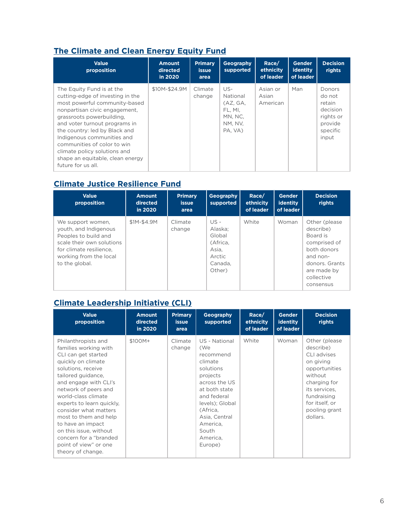## **[The Climate and Clean Energy Equity Fund](https://www.theequityfund.org/)**

| <b>Value</b><br>proposition                                                                                                                                                                                                                                                                                                                                                           | <b>Amount</b><br>directed<br>in 2020 | <b>Primary</b><br><b>issue</b><br>area | Geography<br>supported                                                  | Race/<br>ethnicity<br>of leader | <b>Gender</b><br>identity<br>of leader | <b>Decision</b><br>rights                                                           |
|---------------------------------------------------------------------------------------------------------------------------------------------------------------------------------------------------------------------------------------------------------------------------------------------------------------------------------------------------------------------------------------|--------------------------------------|----------------------------------------|-------------------------------------------------------------------------|---------------------------------|----------------------------------------|-------------------------------------------------------------------------------------|
| The Equity Fund is at the<br>cutting-edge of investing in the<br>most powerful community-based<br>nonpartisan civic engagement,<br>grassroots powerbuilding.<br>and voter turnout programs in<br>the country: led by Black and<br>Indigenous communities and<br>communities of color to win<br>climate policy solutions and<br>shape an equitable, clean energy<br>future for us all. | \$10M-\$24.9M                        | Climate<br>change                      | US-<br>National<br>(AZ, GA,<br>FL. MI.<br>MN. NC.<br>NM. NV.<br>PA, VA) | Asian or<br>Asian<br>American   | Man                                    | Donors<br>do not<br>retain<br>decision<br>rights or<br>provide<br>specific<br>input |

## **[Climate Justice Resilience Fund](https://www.cjrfund.org/)**

| <b>Value</b><br>proposition                                                                                                                                            | <b>Amount</b><br>directed<br>in 2020 | <b>Primary</b><br><i>issue</i><br>area | Geography<br>supported                                                        | Race/<br>ethnicity<br>of leader | <b>Gender</b><br>identity<br>of leader | <b>Decision</b><br>rights                                                                                                                      |
|------------------------------------------------------------------------------------------------------------------------------------------------------------------------|--------------------------------------|----------------------------------------|-------------------------------------------------------------------------------|---------------------------------|----------------------------------------|------------------------------------------------------------------------------------------------------------------------------------------------|
| We support women,<br>youth, and Indigenous<br>Peoples to build and<br>scale their own solutions<br>for climate resilience.<br>working from the local<br>to the global. | \$1M-\$4.9M                          | Climate<br>change                      | US -<br>Alaska:<br>Global<br>(Africa.<br>Asia,<br>Arctic<br>Canada.<br>Other) | White                           | Woman                                  | Other (please)<br>describe)<br>Board is<br>comprised of<br>both donors<br>and non-<br>donors. Grants<br>are made by<br>collective<br>consensus |

## **[Climate Leadership Initiative \(CLI\)](https://climatelead.org/)**

| <b>Value</b><br>proposition                                                                                                                                                                                                                                                                                                                                                                                         | <b>Amount</b><br>directed<br>in 2020 | <b>Primary</b><br><b>issue</b><br>area | Geography<br>supported                                                                                                                                                                                             | Race/<br>ethnicity<br>of leader | <b>Gender</b><br>identity<br>of leader | <b>Decision</b><br>rights                                                                                                                                                          |
|---------------------------------------------------------------------------------------------------------------------------------------------------------------------------------------------------------------------------------------------------------------------------------------------------------------------------------------------------------------------------------------------------------------------|--------------------------------------|----------------------------------------|--------------------------------------------------------------------------------------------------------------------------------------------------------------------------------------------------------------------|---------------------------------|----------------------------------------|------------------------------------------------------------------------------------------------------------------------------------------------------------------------------------|
| Philanthropists and<br>families working with<br>CLI can get started<br>quickly on climate<br>solutions, receive<br>tailored guidance,<br>and engage with CLI's<br>network of peers and<br>world-class climate<br>experts to learn quickly.<br>consider what matters<br>most to them and help<br>to have an impact<br>on this issue, without<br>concern for a "branded<br>point of view" or one<br>theory of change. | \$100M+                              | Climate<br>change                      | US - National<br>(We<br>recommend<br>climate<br>solutions<br>projects<br>across the US<br>at both state<br>and federal<br>levels); Global<br>(Africa,<br>Asia, Central<br>America,<br>South<br>America.<br>Europe) | White                           | Woman                                  | Other (please)<br>describe)<br>CLI advises<br>on giving<br>opportunities<br>without<br>charging for<br>its services.<br>fundraising<br>for itself, or<br>pooling grant<br>dollars. |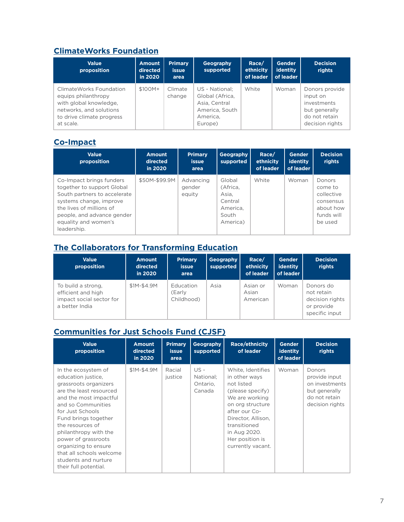## **[ClimateWorks Foundation](https://www.climateworks.org/)**

| <b>Value</b><br>proposition                                                                                                                    | <b>Amount</b><br>directed<br>in 2020 | <b>Primary</b><br><b>issue</b><br>area | Geography<br>supported                                                                      | Race/<br>ethnicity<br>of leader | Gender<br>identity<br>of leader | <b>Decision</b><br>rights                                                                      |
|------------------------------------------------------------------------------------------------------------------------------------------------|--------------------------------------|----------------------------------------|---------------------------------------------------------------------------------------------|---------------------------------|---------------------------------|------------------------------------------------------------------------------------------------|
| Climate Works Foundation<br>equips philanthropy<br>with global knowledge,<br>networks, and solutions<br>to drive climate progress<br>at scale. | \$100M+                              | Climate<br>change                      | US - National:<br>Global (Africa,<br>Asia, Central<br>America, South<br>America.<br>Europe) | White                           | Woman                           | Donors provide<br>input on<br>investments<br>but generally<br>do not retain<br>decision rights |

## **[Co-Impact](https://www.co-impact.org/)**

| <b>Value</b><br>proposition                                                                                                                                                                                        | <b>Amount</b><br>directed<br>in 2020 | <b>Primary</b><br><b>issue</b><br>area | Geography<br>supported                                                  | Race/<br>ethnicity<br>of leader | <b>Gender</b><br>identity<br>of leader | <b>Decision</b><br>rights                                                          |
|--------------------------------------------------------------------------------------------------------------------------------------------------------------------------------------------------------------------|--------------------------------------|----------------------------------------|-------------------------------------------------------------------------|---------------------------------|----------------------------------------|------------------------------------------------------------------------------------|
| Co-Impact brings funders<br>together to support Global<br>South partners to accelerate<br>systems change, improve<br>the lives of millions of<br>people, and advance gender<br>equality and women's<br>leadership. | \$50M-\$99.9M                        | Advancing<br>gender<br>equity          | Global<br>(Africa,<br>Asia.<br>Central<br>America.<br>South<br>America) | White                           | Woman                                  | Donors<br>come to<br>collective<br>consensus<br>about how<br>funds will<br>be used |

## **[The Collaborators for Transforming Education](https://www.edelgive.org/the-collaborators/)**

| <b>Value</b><br>proposition                                                            | <b>Amount</b><br>directed<br>in 2020 | <b>Primary</b><br>issue<br>area   | Geography<br>supported | Race/<br>ethnicity<br>of leader | <b>Gender</b><br>identity<br>of leader | <b>Decision</b><br>rights                                                  |
|----------------------------------------------------------------------------------------|--------------------------------------|-----------------------------------|------------------------|---------------------------------|----------------------------------------|----------------------------------------------------------------------------|
| To build a strong,<br>efficient and high<br>impact social sector for<br>a better India | \$1M-\$4.9M                          | Education<br>(Early<br>Childhood) | Asia                   | Asian or<br>Asian<br>American   | Woman                                  | Donors do<br>not retain<br>decision rights<br>or provide<br>specific input |

## **[Communities for Just Schools Fund \(CJSF\)](https://www.cjsfund.org/)**

| <b>Value</b><br>proposition                                                                                                                                                                                                                                                                                                                                        | <b>Amount</b><br>directed<br>in 2020 | <b>Primary</b><br><b>issue</b><br>area | Geography<br>supported                    | <b>Race/ethnicity</b><br>of leader                                                                                                                                                                                        | <b>Gender</b><br><b>identity</b><br>of leader | <b>Decision</b><br>rights                                                                      |
|--------------------------------------------------------------------------------------------------------------------------------------------------------------------------------------------------------------------------------------------------------------------------------------------------------------------------------------------------------------------|--------------------------------------|----------------------------------------|-------------------------------------------|---------------------------------------------------------------------------------------------------------------------------------------------------------------------------------------------------------------------------|-----------------------------------------------|------------------------------------------------------------------------------------------------|
| In the ecosystem of<br>education justice.<br>grassroots organizers<br>are the least resourced<br>and the most impactful<br>and so Communities<br>for Just Schools<br>Fund brings together<br>the resources of<br>philanthropy with the<br>power of grassroots<br>organizing to ensure<br>that all schools welcome<br>students and nurture<br>their full potential. | \$1M-\$4.9M                          | Racial<br>justice                      | $US -$<br>National:<br>Ontario.<br>Canada | White, Identifies<br>in other ways<br>not listed<br>(please specify)<br>We are working<br>on org structure<br>after our Co-<br>Director, Allison,<br>transitioned<br>in Aug 2020.<br>Her position is<br>currently vacant. | Woman                                         | Donors<br>provide input<br>on investments<br>but generally<br>do not retain<br>decision rights |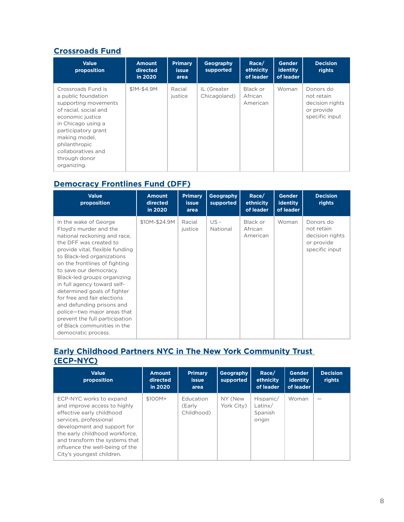#### **[Crossroads Fund](https://crossroadsfund.org/)**

| <b>Value</b><br>proposition                                                                                                                                                                                                                         | <b>Amount</b><br>directed<br>in 2020 | <b>Primary</b><br><b>issue</b><br>area | Geography<br>supported      | Race/<br>ethnicity<br>of leader | <b>Gender</b><br>identity<br>of leader | <b>Decision</b><br>rights                                                  |
|-----------------------------------------------------------------------------------------------------------------------------------------------------------------------------------------------------------------------------------------------------|--------------------------------------|----------------------------------------|-----------------------------|---------------------------------|----------------------------------------|----------------------------------------------------------------------------|
| Crossroads Fund is<br>a public foundation<br>supporting movements<br>of racial, social and<br>economic justice<br>in Chicago using a<br>participatory grant<br>making model,<br>philanthropic<br>collaboratives and<br>through donor<br>organizing. | \$1M-\$4.9M                          | Racial<br>justice                      | IL (Greater<br>Chicagoland) | Black or<br>African<br>American | Woman                                  | Donors do<br>not retain<br>decision rights<br>or provide<br>specific input |

## **[Democracy Frontlines Fund \(DFF\)](https://www.democracyfrontlinesfund.org/)**

| <b>Value</b><br>proposition                                                                                                                                                                                                                                                                                                                                                                                                                                                                                           | <b>Amount</b><br>directed<br>in 2020 | <b>Primary</b><br><b>issue</b><br>area | Geography<br>supported | Race/<br>ethnicity<br>of leader | <b>Gender</b><br><b>identity</b><br>of leader | <b>Decision</b><br>rights                                                  |
|-----------------------------------------------------------------------------------------------------------------------------------------------------------------------------------------------------------------------------------------------------------------------------------------------------------------------------------------------------------------------------------------------------------------------------------------------------------------------------------------------------------------------|--------------------------------------|----------------------------------------|------------------------|---------------------------------|-----------------------------------------------|----------------------------------------------------------------------------|
| In the wake of George<br>Floyd's murder and the<br>national reckoning and race.<br>the DFF was created to<br>provide vital, flexible funding<br>to Black-led organizations<br>on the frontlines of fighting<br>to save our democracy.<br>Black-led groups organizing<br>in full agency toward self-<br>determined goals of fighter<br>for free and fair elections<br>and defunding prisons and<br>police-two major areas that<br>prevent the full participation<br>of Black communities in the<br>democratic process. | \$10M-\$24.9M                        | Racial<br>justice                      | US-<br>National        | Black or<br>African<br>American | Woman                                         | Donors do<br>not retain<br>decision rights<br>or provide<br>specific input |

#### **[Early Childhood Partners NYC in The New York Community Trust](https://www.nycommunitytrust.org/results/collaborative-funds/)  [\(ECP-NYC\)](https://www.nycommunitytrust.org/results/collaborative-funds/)**

| <b>Value</b><br>proposition                                                                                                                                                                                                                                                       | <b>Amount</b><br>directed<br>in 2020 | <b>Primary</b><br><b>issue</b><br>area | Geography<br>supported | Race/<br>ethnicity<br>of leader           | <b>Gender</b><br><b>identity</b><br>of leader | <b>Decision</b><br>rights |
|-----------------------------------------------------------------------------------------------------------------------------------------------------------------------------------------------------------------------------------------------------------------------------------|--------------------------------------|----------------------------------------|------------------------|-------------------------------------------|-----------------------------------------------|---------------------------|
| ECP-NYC works to expand<br>and improve access to highly<br>effective early childhood<br>services, professional<br>development and support for<br>the early childhood workforce.<br>and transform the systems that<br>influence the well-being of the<br>City's youngest children. | $$100M+$                             | Education<br>(Early<br>Childhood)      | NY (New<br>York City)  | Hispanic/<br>Latinx/<br>Spanish<br>origin | Woman                                         |                           |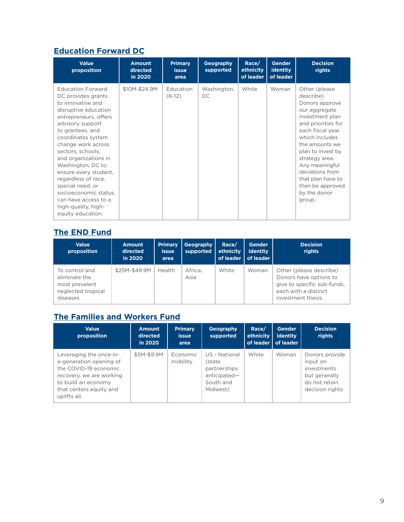## **[Education Forward DC](https://edforwarddc.org/)**

| <b>Value</b><br>proposition                                                                                                                                                                                                                                                                                                                                                                                                                 | <b>Amount</b><br>directed<br>in 2020 | <b>Primary</b><br><b>issue</b><br>area | Geography<br>supported | Race/<br>ethnicity<br>of leader | <b>Gender</b><br><b>identity</b><br>of leader | <b>Decision</b><br>rights                                                                                                                                                                                                                                                                                      |
|---------------------------------------------------------------------------------------------------------------------------------------------------------------------------------------------------------------------------------------------------------------------------------------------------------------------------------------------------------------------------------------------------------------------------------------------|--------------------------------------|----------------------------------------|------------------------|---------------------------------|-----------------------------------------------|----------------------------------------------------------------------------------------------------------------------------------------------------------------------------------------------------------------------------------------------------------------------------------------------------------------|
| <b>Education Forward</b><br>DC provides grants<br>to innovative and<br>disruptive education<br>entrepreneurs, offers<br>advisory support<br>to grantees, and<br>coordinates system<br>change work across<br>sectors, schools,<br>and organizations in<br>Washington, DC to<br>ensure every student,<br>regardless of race,<br>special need, or<br>socioeconomic status.<br>can have access to a<br>high-quality, high-<br>equity education. | \$10M-\$24.9M                        | Education<br>$(K-12)$                  | Washington,<br>DC      | White                           | Woman                                         | Other (please<br>describe)<br>Donors approve<br>our aggregate<br>investment plan<br>and priorities for<br>each fiscal year,<br>which includes<br>the amounts we<br>plan to invest by<br>strategy area.<br>Any meaningful<br>deviations from<br>that plan have to<br>then be approved<br>by the donor<br>group. |

#### **[The END Fund](https://end.org/)**

| <b>Value</b><br>proposition                                                         | <b>Amount</b><br>directed<br>in 2020 | <b>Primary</b><br><b>issue</b><br>area | Geography<br>supported | Race/<br>ethnicity<br>of leader | <b>Gender</b><br>identity<br>of leader | <b>Decision</b><br>rights                                                                                                      |
|-------------------------------------------------------------------------------------|--------------------------------------|----------------------------------------|------------------------|---------------------------------|----------------------------------------|--------------------------------------------------------------------------------------------------------------------------------|
| To control and<br>eliminate the<br>most prevalent<br>neglected tropical<br>diseases | \$25M-\$49.9M                        | <b>Health</b>                          | Africa.<br>Asia        | White                           | Woman                                  | Other (please describe)<br>Donors have options to<br>give to specific sub-funds,<br>each with a distinct<br>investment thesis. |

## **[The Families and Workers Fund](https://familiesandworkers.org/)**

| <b>Value</b><br>proposition                                                                                                                                               | <b>Amount</b><br>directed<br>in 2020 | <b>Primary</b><br><b>issue</b><br>area | Geography<br>supported                                                           | Race/<br>ethnicity | <b>Gender</b><br>identity<br>of leader of leader | <b>Decision</b><br>rights                                                                      |
|---------------------------------------------------------------------------------------------------------------------------------------------------------------------------|--------------------------------------|----------------------------------------|----------------------------------------------------------------------------------|--------------------|--------------------------------------------------|------------------------------------------------------------------------------------------------|
| Leveraging the once-in-<br>a-generation opening of<br>the COVID-19 economic<br>recovery, we are working<br>to build an economy<br>that centers equity and<br>uplifts all. | \$5M-\$9.9M                          | Economic<br>mobility                   | US - National<br>(state<br>partnerships<br>anticipated-<br>South and<br>Midwest) | White              | Woman                                            | Donors provide<br>input on<br>investments<br>but generally<br>do not retain<br>decision rights |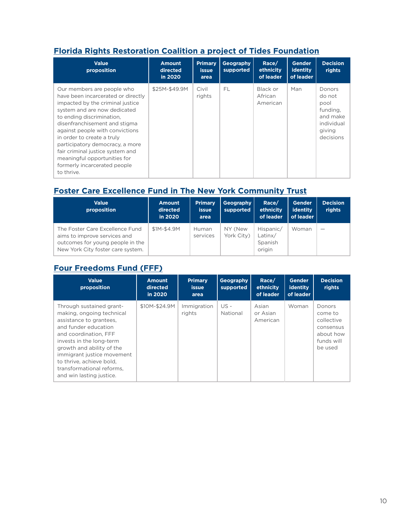## **[Florida Rights Restoration Coalition a project of Tides Foundation](https://www.tides.org/project/grantmaking-partner/florida-rights-restoration-coalition/)**

| <b>Value</b><br>proposition                                                                                                                                                                                                                                                                                                                                                                                              | <b>Amount</b><br>directed<br>in 2020 | <b>Primary</b><br><b>issue</b><br>area | Geography<br>supported | Race/<br>ethnicity<br>of leader | <b>Gender</b><br>identity<br>of leader | <b>Decision</b><br>rights                                                             |
|--------------------------------------------------------------------------------------------------------------------------------------------------------------------------------------------------------------------------------------------------------------------------------------------------------------------------------------------------------------------------------------------------------------------------|--------------------------------------|----------------------------------------|------------------------|---------------------------------|----------------------------------------|---------------------------------------------------------------------------------------|
| Our members are people who<br>have been incarcerated or directly<br>impacted by the criminal justice<br>system and are now dedicated<br>to ending discrimination,<br>disenfranchisement and stigma<br>against people with convictions<br>in order to create a truly<br>participatory democracy, a more<br>fair criminal justice system and<br>meaningful opportunities for<br>formerly incarcerated people<br>to thrive. | \$25M-\$49.9M                        | Civil<br>rights                        | FL                     | Black or<br>African<br>American | Man                                    | Donors<br>do not<br>pool<br>funding,<br>and make<br>individual<br>giving<br>decisions |

# **[Foster Care Excellence Fund in The New York Community Trust](https://www.nycommunitytrust.org/results/collaborative-funds/)**

| <b>Value</b><br>proposition                                                                                                              | <b>Amount</b><br>directed<br>in 2020 | <b>Primary</b><br><b>issue</b><br>area | Geography<br>supported | Race/<br>ethnicity<br>of leader           | <b>Gender</b><br>identity<br>of leader | <b>Decision</b><br>rights |
|------------------------------------------------------------------------------------------------------------------------------------------|--------------------------------------|----------------------------------------|------------------------|-------------------------------------------|----------------------------------------|---------------------------|
| The Foster Care Excellence Fund<br>aims to improve services and<br>outcomes for young people in the<br>New York City foster care system. | \$1M-\$4.9M                          | Human<br>services                      | NY (New<br>York City)  | Hispanic/<br>Latinx/<br>Spanish<br>origin | Woman                                  | $\overline{\phantom{0}}$  |

#### **[Four Freedoms Fund \(FFF\)](https://neophilanthropy.org/collaborative-funds/four-freedoms-fund/)**

| <b>Value</b><br>proposition                                                                                                                                                                                                                                                                                   | Amount<br>directed<br>in 2020 | <b>Primary</b><br><b>issue</b><br>area | Geography<br>supported | Race/<br>ethnicity<br>of leader | <b>Gender</b><br><b>identity</b><br>of leader | <b>Decision</b><br>rights                                                                 |
|---------------------------------------------------------------------------------------------------------------------------------------------------------------------------------------------------------------------------------------------------------------------------------------------------------------|-------------------------------|----------------------------------------|------------------------|---------------------------------|-----------------------------------------------|-------------------------------------------------------------------------------------------|
| Through sustained grant-<br>making, ongoing technical<br>assistance to grantees.<br>and funder education<br>and coordination. FFF<br>invests in the long-term<br>growth and ability of the<br>immigrant justice movement<br>to thrive, achieve bold,<br>transformational reforms.<br>and win lasting justice. | \$10M-\$24.9M                 | Immigration<br>rights                  | US -<br>National       | Asian<br>or Asian<br>American   | Woman                                         | <b>Donors</b><br>come to<br>collective<br>consensus<br>about how<br>funds will<br>be used |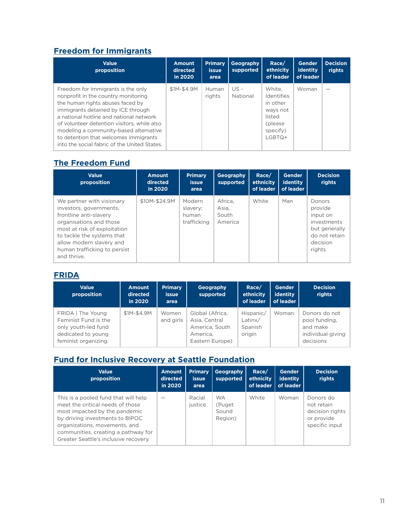## **[Freedom for Immigrants](https://www.freedomforimmigrants.org/)**

| <b>Value</b><br>proposition                                                                                                                                                                                                                                                                                                                                                      | <b>Amount</b><br>directed<br>in 2020 | <b>Primary</b><br><b>issue</b><br>area | Geography<br>supported | Race/<br>ethnicity<br>of leader                                                          | <b>Gender</b><br>identity<br>of leader | <b>Decision</b><br>rights |
|----------------------------------------------------------------------------------------------------------------------------------------------------------------------------------------------------------------------------------------------------------------------------------------------------------------------------------------------------------------------------------|--------------------------------------|----------------------------------------|------------------------|------------------------------------------------------------------------------------------|----------------------------------------|---------------------------|
| Freedom for Immigrants is the only<br>nonprofit in the country monitoring<br>the human rights abuses faced by<br>immigrants detained by ICE through<br>a national hotline and national network<br>of volunteer detention visitors, while also<br>modeling a community-based alternative<br>to detention that welcomes immigrants<br>into the social fabric of the United States. | \$1M-\$4.9M                          | Human<br>rights                        | US -<br>National       | White.<br>Identifies<br>in other<br>ways not<br>listed<br>(please)<br>specify)<br>LGBTQ+ | Woman                                  |                           |

## **[The Freedom Fund](https://freedomfund.org/)**

| <b>Value</b><br>proposition                                                                                                                                                                                                                        | <b>Amount</b><br>directed<br>in 2020 | <b>Primary</b><br><b>issue</b><br>area     | Geography<br>supported               | Race/<br>ethnicity<br>of leader | <b>Gender</b><br>identity<br>of leader | <b>Decision</b><br>rights                                                                            |
|----------------------------------------------------------------------------------------------------------------------------------------------------------------------------------------------------------------------------------------------------|--------------------------------------|--------------------------------------------|--------------------------------------|---------------------------------|----------------------------------------|------------------------------------------------------------------------------------------------------|
| We partner with visionary<br>investors, governments,<br>frontline anti-slavery<br>organisations and those<br>most at risk of exploitation<br>to tackle the systems that<br>allow modern slavery and<br>human trafficking to persist<br>and thrive. | \$10M-\$24.9M                        | Modern<br>slavery;<br>human<br>trafficking | Africa.<br>Asia,<br>South<br>America | White                           | Man                                    | Donors<br>provide<br>input on<br>investments<br>but generally<br>do not retain<br>decision<br>rights |

#### **[FRIDA](https://youngfeministfund.org/)**

| <b>Value</b><br>proposition                                                                                  | <b>Amount</b><br>directed<br>in 2020 | <b>Primary</b><br><b>issue</b><br>area | <b>Geography</b><br>supported                                                     | Race/<br>ethnicity<br>of leader           | <b>Gender</b><br>identity<br>of leader | <b>Decision</b><br>rights                                                    |
|--------------------------------------------------------------------------------------------------------------|--------------------------------------|----------------------------------------|-----------------------------------------------------------------------------------|-------------------------------------------|----------------------------------------|------------------------------------------------------------------------------|
| FRIDA The Young<br>Feminist Fund is the<br>only youth-led fund<br>dedicated to young<br>feminist organizing. | \$1M-\$4.9M                          | Women<br>and girls                     | Global (Africa,<br>Asia, Central<br>America, South<br>America.<br>Eastern Europe) | Hispanic/<br>Latinx/<br>Spanish<br>origin | Woman                                  | Donors do not<br>pool funding.<br>and make<br>individual giving<br>decisions |

#### **[Fund for Inclusive Recovery at Seattle Foundation](https://www.seattlefoundation.org/blueprint-for-impact/civic-leadership/fund-for-inclusive-recovery)**

| <b>Value</b><br>proposition                                                                                                                                                                                                                                   | <b>Amount</b><br>directed<br>in 2020 | <b>Primary</b><br><b>issue</b><br>area | Geography<br>supported                   | Race/<br>ethnicity<br>of leader | <b>Gender</b><br>identity<br>of leader | <b>Decision</b><br>rights                                                  |
|---------------------------------------------------------------------------------------------------------------------------------------------------------------------------------------------------------------------------------------------------------------|--------------------------------------|----------------------------------------|------------------------------------------|---------------------------------|----------------------------------------|----------------------------------------------------------------------------|
| This is a pooled fund that will help<br>meet the critical needs of those<br>most impacted by the pandemic<br>by driving investments to BIPOC<br>organizations, movements, and<br>communities, creating a pathway for<br>Greater Seattle's inclusive recovery. |                                      | Racial<br>justice                      | <b>WA</b><br>(Puget)<br>Sound<br>Region) | White                           | Woman                                  | Donors do<br>not retain<br>decision rights<br>or provide<br>specific input |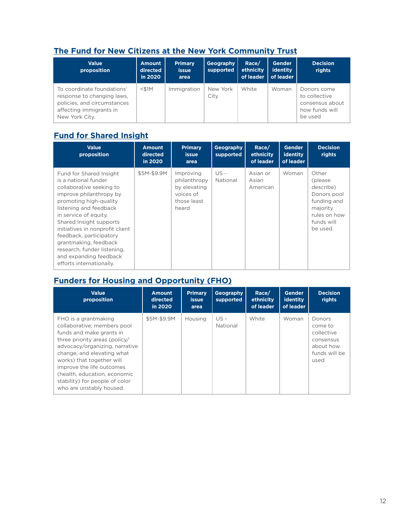## **[The Fund for New Citizens at the New York Community Trust](https://www.nycommunitytrust.org/results/collaborative-funds/)**

| <b>Value</b><br>proposition                                                                                                          | <b>Amount</b><br>directed<br>in 2020 | <b>Primary</b><br><b>issue</b><br>area | Geography<br>supported | Race/<br>ethnicity<br>of leader | Gender<br>identity<br>of leader | <b>Decision</b><br>rights                                                    |
|--------------------------------------------------------------------------------------------------------------------------------------|--------------------------------------|----------------------------------------|------------------------|---------------------------------|---------------------------------|------------------------------------------------------------------------------|
| To coordinate foundations'<br>response to changing laws.<br>policies, and circumstances<br>affecting immigrants in<br>New York City. | $<$ \$1M                             | Immigration                            | New York<br>City       | White                           | Woman                           | Donors come<br>to collective<br>consensus about<br>how funds will<br>be used |

## **[Fund for Shared Insight](https://fundforsharedinsight.org/)**

| <b>Value</b><br>proposition                                                                                                                                                                                                                                                                                                                                                                | <b>Amount</b><br>directed<br>in 2020 | <b>Primary</b><br><b>issue</b><br>area                                         | Geography<br>supported | Race/<br>ethnicity<br>of leader | <b>Gender</b><br>identity<br>of leader | <b>Decision</b><br>rights                                                                                          |
|--------------------------------------------------------------------------------------------------------------------------------------------------------------------------------------------------------------------------------------------------------------------------------------------------------------------------------------------------------------------------------------------|--------------------------------------|--------------------------------------------------------------------------------|------------------------|---------------------------------|----------------------------------------|--------------------------------------------------------------------------------------------------------------------|
| Fund for Shared Insight<br>is a national funder<br>collaborative seeking to<br>improve philanthropy by<br>promoting high-quality<br>listening and feedback<br>in service of equity.<br>Shared Insight supports<br>initiatives in nonprofit client<br>feedback, participatory<br>grantmaking, feedback<br>research, funder listening,<br>and expanding feedback<br>efforts internationally. | \$5M-\$9.9M                          | Improving<br>philanthropy<br>by elevating<br>voices of<br>those least<br>heard | $US -$<br>National     | Asian or<br>Asian<br>American   | Woman                                  | Other<br>(please)<br>describe)<br>Donors pool<br>funding and<br>majority<br>rules on how<br>funds will<br>be used. |

## **[Funders for Housing and Opportunity \(FHO\)](https://www.housingisopportunity.org/)**

| <b>Value</b><br>proposition                                                                                                                                                                                                                                                                                                              | <b>Amount</b><br>directed<br>in 2020 | <b>Primary</b><br><b>issue</b><br>area | Geography<br>supported | Race/<br>ethnicity<br>of leader | <b>Gender</b><br><b>identity</b><br>of leader | <b>Decision</b><br>rights                                                          |
|------------------------------------------------------------------------------------------------------------------------------------------------------------------------------------------------------------------------------------------------------------------------------------------------------------------------------------------|--------------------------------------|----------------------------------------|------------------------|---------------------------------|-----------------------------------------------|------------------------------------------------------------------------------------|
| FHO is a grantmaking<br>collaborative; members pool<br>funds and make grants in<br>three priority areas (policy/<br>advocacy/organizing, narrative<br>change, and elevating what<br>works) that together will<br>improve the life outcomes<br>(health, education, economic<br>stability) for people of color<br>who are unstably housed. | \$5M-\$9.9M                          | Housing                                | $US -$<br>National     | White                           | Woman                                         | Donors<br>come to<br>collective<br>consensus<br>about how<br>funds will be<br>used |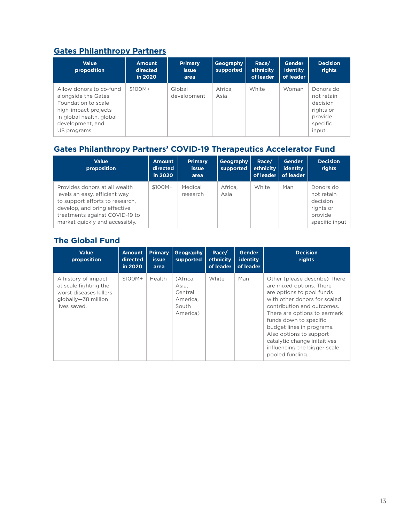## **[Gates Philanthropy Partners](https://www.gatesphilanthropypartners.org/)**

| <b>Value</b><br>proposition                                                                                                                                   | <b>Amount</b><br>directed<br>in 2020 | <b>Primary</b><br><b>issue</b><br>area | Geography<br>supported | Race/<br>ethnicity<br>of leader | <b>Gender</b><br>identity<br>of leader | <b>Decision</b><br>rights                                                        |
|---------------------------------------------------------------------------------------------------------------------------------------------------------------|--------------------------------------|----------------------------------------|------------------------|---------------------------------|----------------------------------------|----------------------------------------------------------------------------------|
| Allow donors to co-fund<br>alongside the Gates<br>Foundation to scale<br>high-impact projects<br>in global health, global<br>development, and<br>US programs. | $$100M+$                             | Global<br>development                  | Africa.<br>Asia        | White                           | Woman                                  | Donors do<br>not retain<br>decision<br>rights or<br>provide<br>specific<br>input |

## **[Gates Philanthropy Partners' COVID-19 Therapeutics Accelerator Fund](https://www.therapeuticsaccelerator.org/)**

| <b>Value</b><br>proposition                                                                                                                                                                           | <b>Amount</b><br>directed<br>in 2020 | <b>Primary</b><br><b>issue</b><br>area | Geography<br>supported | Race/<br>ethnicity | <b>Gender</b><br>identity<br>of leader   of leader | <b>Decision</b><br>rights                                                     |
|-------------------------------------------------------------------------------------------------------------------------------------------------------------------------------------------------------|--------------------------------------|----------------------------------------|------------------------|--------------------|----------------------------------------------------|-------------------------------------------------------------------------------|
| Provides donors at all wealth<br>levels an easy, efficient way<br>to support efforts to research.<br>develop, and bring effective<br>treatments against COVID-19 to<br>market quickly and accessibly. | \$100M+                              | Medical<br>research                    | Africa,<br>Asia        | White              | Man                                                | Donors do<br>not retain<br>decision<br>rights or<br>provide<br>specific input |

## **[The Global Fund](https://www.theglobalfund.org/en/)**

| <b>Value</b><br>proposition                                                                                   | <b>Amount</b><br>directed<br>in 2020 | <b>Primary</b><br><i>issue</i><br>area | Geography<br>supported                                        | Race/<br>ethnicity<br>of leader | Gender<br>identity<br>of leader | <b>Decision</b><br>rights                                                                                                                                                                                                                                                                                                                                 |
|---------------------------------------------------------------------------------------------------------------|--------------------------------------|----------------------------------------|---------------------------------------------------------------|---------------------------------|---------------------------------|-----------------------------------------------------------------------------------------------------------------------------------------------------------------------------------------------------------------------------------------------------------------------------------------------------------------------------------------------------------|
| A history of impact<br>at scale fighting the<br>worst diseases killers<br>globally-38 million<br>lives saved. | \$100M+                              | Health                                 | (Africa.<br>Asia,<br>Central<br>America,<br>South<br>America) | White                           | Man                             | Other (please describe) There<br>are mixed options. There<br>are options to pool funds<br>with other donors for scaled<br>contribution and outcomes.<br>There are options to earmark<br>funds down to specific<br>budget lines in programs.<br>Also options to support<br>catalytic change initaitives<br>influencing the bigger scale<br>pooled funding. |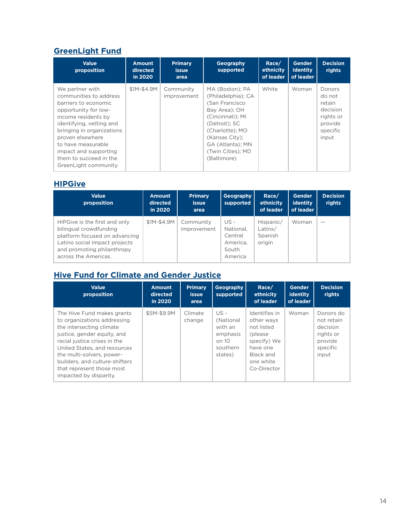## **[GreenLight Fund](https://greenlightfund.org/)**

| <b>Value</b><br>proposition                                                                                                                                                                                                                                                                     | <b>Amount</b><br>directed<br>in 2020 | <b>Primary</b><br><b>issue</b><br>area | Geography<br>supported                                                                                                                                                                                     | Race/<br>ethnicity<br>of leader | <b>Gender</b><br>identity<br>of leader | <b>Decision</b><br>rights                                                           |
|-------------------------------------------------------------------------------------------------------------------------------------------------------------------------------------------------------------------------------------------------------------------------------------------------|--------------------------------------|----------------------------------------|------------------------------------------------------------------------------------------------------------------------------------------------------------------------------------------------------------|---------------------------------|----------------------------------------|-------------------------------------------------------------------------------------|
| We partner with<br>communities to address<br>barriers to economic<br>opportunity for low-<br>income residents by<br>identifying, vetting and<br>bringing in organizations<br>proven elsewhere<br>to have measurable<br>impact and supporting<br>them to succeed in the<br>GreenLight community. | \$1M-\$4.9M                          | Community<br>improvement               | MA (Boston): PA<br>(Philadelphia); CA<br>(San Francisco<br>Bay Area): OH<br>(Cincinnati); MI<br>(Detroit): SC<br>(Charlotte); MO<br>(Kansas City);<br>GA (Atlanta); MN<br>(Twin Cities); MD<br>(Baltimore) | White                           | Woman                                  | Donors<br>do not<br>retain<br>decision<br>rights or<br>provide<br>specific<br>input |

#### **[HIPGive](https://www.hipgive.org/en)**

| <b>Value</b><br>proposition                                                                                                                                                     | <b>Amount</b><br>directed<br>in 2020 | <b>Primary</b><br><b>issue</b><br>area | <b>Geography</b><br>supported                                | Race/<br>ethnicity<br>of leader           | Gender<br>identity<br>of leader | <b>Decision</b><br>rights |
|---------------------------------------------------------------------------------------------------------------------------------------------------------------------------------|--------------------------------------|----------------------------------------|--------------------------------------------------------------|-------------------------------------------|---------------------------------|---------------------------|
| HIPGive is the first and only<br>bilingual crowdfunding<br>platform focused on advancing<br>Latino social impact projects<br>and promoting philanthropy<br>across the Americas. | \$1M-\$4.9M                          | Community<br>improvement               | US -<br>National.<br>Central<br>America.<br>South<br>America | Hispanic/<br>Latinx/<br>Spanish<br>origin | Woman                           |                           |

## **[Hive Fund for Climate and Gender Justice](https://www.hivefund.org/)**

| <b>Value</b><br>proposition                                                                                                                                                                                                                                                                                | <b>Amount</b><br>directed<br>in 2020 | <b>Primary</b><br><b>issue</b><br>area | Geography<br>supported                                                   | Race/<br>ethnicity<br>of leader                                                                                           | <b>Gender</b><br>identity<br>of leader | <b>Decision</b><br>rights                                                        |
|------------------------------------------------------------------------------------------------------------------------------------------------------------------------------------------------------------------------------------------------------------------------------------------------------------|--------------------------------------|----------------------------------------|--------------------------------------------------------------------------|---------------------------------------------------------------------------------------------------------------------------|----------------------------------------|----------------------------------------------------------------------------------|
| The Hive Fund makes grants<br>to organizations addressing<br>the intersecting climate<br>justice, gender equity, and<br>racial justice crises in the<br>United States, and resources<br>the multi-solvers, power-<br>builders, and culture-shifters<br>that represent those most<br>impacted by disparity. | \$5M-\$9.9M                          | Climate<br>change                      | US -<br>(National<br>with an<br>emphasis<br>on 10<br>southern<br>states) | Identifies in<br>other ways<br>not listed<br>(please)<br>specify) We<br>have one<br>Black and<br>one white<br>Co-Director | Woman                                  | Donors do<br>not retain<br>decision<br>rights or<br>provide<br>specific<br>input |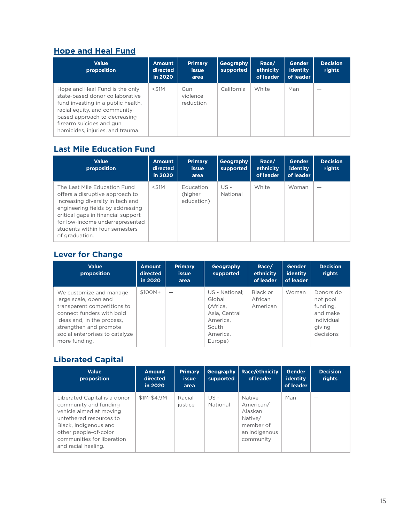#### **[Hope and Heal Fund](https://hopeandhealfund.org/)**

| <b>Value</b><br>proposition                                                                                                                                                                                                              | <b>Amount</b><br>directed<br>in 2020 | <b>Primary</b><br><b>issue</b><br>area | Geography<br>supported | Race/<br>ethnicity<br>of leader | <b>Gender</b><br><b>identity</b><br>of leader | <b>Decision</b><br>rights |
|------------------------------------------------------------------------------------------------------------------------------------------------------------------------------------------------------------------------------------------|--------------------------------------|----------------------------------------|------------------------|---------------------------------|-----------------------------------------------|---------------------------|
| Hope and Heal Fund is the only<br>state-based donor collaborative<br>fund investing in a public health,<br>racial equity, and community-<br>based approach to decreasing<br>firearm suicides and gun<br>homicides, injuries, and trauma. | $<$ \$1M                             | Gun<br>violence<br>reduction           | California             | White                           | Man                                           |                           |

## **[Last Mile Education Fund](https://www.lastmile-ed.org/)**

| <b>Value</b><br>proposition                                                                                                                                                                                                                                          | <b>Amount</b><br>directed<br>in 2020 | <b>Primary</b><br><b>issue</b><br>area | Geography<br>supported | Race/<br>ethnicity<br>of leader | Gender<br>identity<br>of leader | <b>Decision</b><br>rights |
|----------------------------------------------------------------------------------------------------------------------------------------------------------------------------------------------------------------------------------------------------------------------|--------------------------------------|----------------------------------------|------------------------|---------------------------------|---------------------------------|---------------------------|
| The Last Mile Education Fund<br>offers a disruptive approach to<br>increasing diversity in tech and<br>engineering fields by addressing<br>critical gaps in financial support<br>for low-income underrepresented<br>students within four semesters<br>of graduation. | $<$ \$1M                             | Education<br>(higher<br>education)     | $US -$<br>National     | White                           | Woman                           |                           |

## **[Lever for Change](https://www.leverforchange.org/)**

| <b>Value</b><br>proposition                                                                                                                                                                                             | <b>Amount</b><br>directed<br>in 2020 | <b>Primary</b><br><b>issue</b><br>area | Geography<br>supported                                                                            | Race/<br>ethnicity<br>of leader | Gender<br>identity<br>of leader | <b>Decision</b><br>rights                                                          |
|-------------------------------------------------------------------------------------------------------------------------------------------------------------------------------------------------------------------------|--------------------------------------|----------------------------------------|---------------------------------------------------------------------------------------------------|---------------------------------|---------------------------------|------------------------------------------------------------------------------------|
| We customize and manage<br>large scale, open and<br>transparent competitions to<br>connect funders with bold<br>ideas and, in the process,<br>strengthen and promote<br>social enterprises to catalyze<br>more funding. | \$100M+                              |                                        | US - National:<br>Global<br>(Africa.<br>Asia, Central<br>America.<br>South<br>America.<br>Europe) | Black or<br>African<br>American | Woman                           | Donors do<br>not pool<br>funding.<br>and make<br>individual<br>giving<br>decisions |

## **[Liberated Capital](https://decolonizingwealth.com/liberated-capital/)**

| <b>Value</b><br>proposition                                                                                                                                                                                        | <b>Amount</b><br>directed<br>in 2020 | <b>Primary</b><br><b>issue</b><br>area | <b>Geography</b><br>supported | <b>Race/ethnicity</b><br>of leader                                                   | <b>Gender</b><br>identity<br>of leader | <b>Decision</b><br>rights |
|--------------------------------------------------------------------------------------------------------------------------------------------------------------------------------------------------------------------|--------------------------------------|----------------------------------------|-------------------------------|--------------------------------------------------------------------------------------|----------------------------------------|---------------------------|
| Liberated Capital is a donor<br>community and funding<br>vehicle aimed at moving<br>untethered resources to<br>Black, Indigenous and<br>other people-of-color<br>communities for liberation<br>and racial healing. | \$1M-\$4.9M                          | Racial<br>justice                      | $US -$<br>National            | Native<br>American/<br>Alaskan<br>Native/<br>member of<br>an indigenous<br>community | Man                                    |                           |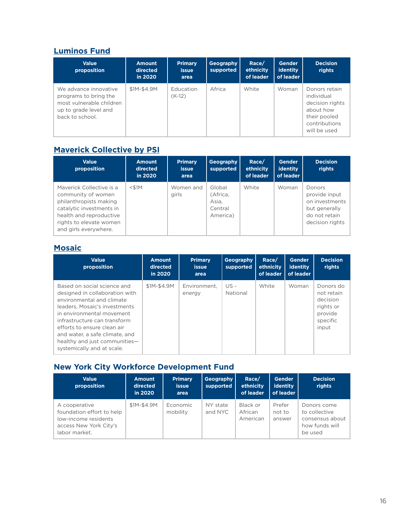## **[Luminos Fund](https://luminosfund.org/)**

| <b>Value</b><br>proposition                                                                                            | <b>Amount</b><br>directed<br>in 2020 | <b>Primary</b><br><b>issue</b><br>area | Geography<br>supported | Race/<br>ethnicity<br>of leader | <b>Gender</b><br>identity<br>of leader | <b>Decision</b><br>rights                                                                                    |
|------------------------------------------------------------------------------------------------------------------------|--------------------------------------|----------------------------------------|------------------------|---------------------------------|----------------------------------------|--------------------------------------------------------------------------------------------------------------|
| We advance innovative<br>programs to bring the<br>most vulnerable children<br>up to grade level and<br>back to school. | \$1M-\$4.9M                          | Education<br>$(K-12)$                  | Africa                 | White                           | Woman                                  | Donors retain<br>individual<br>decision rights<br>about how<br>their pooled<br>contributions<br>will be used |

## **[Maverick Collective by PSI](https://maverickcollective.org/)**

| <b>Value</b><br>proposition                                                                                                                                                         | <b>Amount</b><br>directed<br>in 2020 | <b>Primary</b><br><i>issue</i><br>area | Geography<br>supported                             | Race/<br>ethnicity<br>of leader | <b>Gender</b><br>identity<br>of leader | <b>Decision</b><br>rights                                                                      |
|-------------------------------------------------------------------------------------------------------------------------------------------------------------------------------------|--------------------------------------|----------------------------------------|----------------------------------------------------|---------------------------------|----------------------------------------|------------------------------------------------------------------------------------------------|
| Maverick Collective is a<br>community of women<br>philanthropists making<br>catalytic investments in<br>health and reproductive<br>rights to elevate women<br>and girls everywhere. | $<$ \$1M                             | Women and<br>girls                     | Global<br>(Africa,<br>Asia,<br>Central<br>America) | White                           | Woman                                  | Donors<br>provide input<br>on investments<br>but generally<br>do not retain<br>decision rights |

## **[Mosaic](https://mosaicmomentum.org/)**

| <b>Value</b><br>proposition                                                                                                                                                                                                                                                                                              | <b>Amount</b><br>directed<br>in 2020 | <b>Primary</b><br><b>issue</b><br>area | Geography<br>supported | Race/<br>ethnicity<br>of leader | <b>Gender</b><br>identity<br>of leader | <b>Decision</b><br>rights                                                        |
|--------------------------------------------------------------------------------------------------------------------------------------------------------------------------------------------------------------------------------------------------------------------------------------------------------------------------|--------------------------------------|----------------------------------------|------------------------|---------------------------------|----------------------------------------|----------------------------------------------------------------------------------|
| Based on social science and<br>designed in collaboration with<br>environmental and climate<br>leaders. Mosaic's investments<br>in environmental movement<br>infrastructure can transform<br>efforts to ensure clean air<br>and water, a safe climate, and<br>healthy and just communities-<br>systemically and at scale. | \$1M-\$4.9M                          | Environment.<br>energy                 | US -<br>National       | White                           | Woman                                  | Donors do<br>not retain<br>decision<br>rights or<br>provide<br>specific<br>input |

## **New York City Workforce Development Fund**

| <b>Value</b><br>proposition                                                                                   | <b>Amount</b><br>directed<br>in 2020 | <b>Primary</b><br><b>issue</b><br>area | Geography<br>supported | Race/<br>ethnicity<br>of leader | <b>Gender</b><br>identity<br>of leader | <b>Decision</b><br>rights                                                    |
|---------------------------------------------------------------------------------------------------------------|--------------------------------------|----------------------------------------|------------------------|---------------------------------|----------------------------------------|------------------------------------------------------------------------------|
| A cooperative<br>foundation effort to help<br>low-income residents<br>access New York City's<br>labor market. | \$1M-\$4.9M                          | Economic<br>mobility                   | NY state<br>and NYC    | Black or<br>African<br>American | Prefer<br>not to<br>answer             | Donors come<br>to collective<br>consensus about<br>how funds will<br>be used |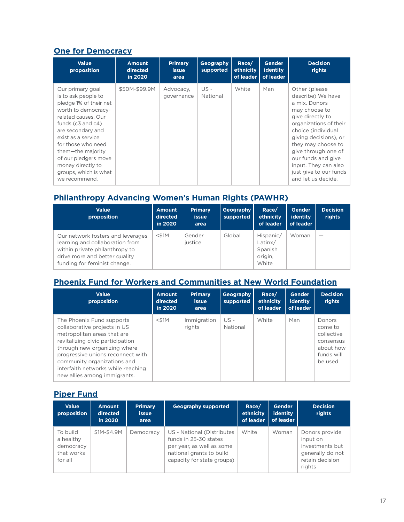#### **[One for Democracy](https://onefordemocracy.org/)**

| <b>Value</b><br>proposition                                                                                                                                                                                                                                                                                           | <b>Amount</b><br>directed<br>in 2020 | <b>Primary</b><br><b>issue</b><br>area | Geography<br>supported | Race/<br>ethnicity<br>of leader | <b>Gender</b><br><b>identity</b><br>of leader | <b>Decision</b><br>rights                                                                                                                                                                                                                                                                                     |
|-----------------------------------------------------------------------------------------------------------------------------------------------------------------------------------------------------------------------------------------------------------------------------------------------------------------------|--------------------------------------|----------------------------------------|------------------------|---------------------------------|-----------------------------------------------|---------------------------------------------------------------------------------------------------------------------------------------------------------------------------------------------------------------------------------------------------------------------------------------------------------------|
| Our primary goal<br>is to ask people to<br>pledge 1% of their net<br>worth to democracy-<br>related causes. Our<br>funds $(c3$ and $c4)$<br>are secondary and<br>exist as a service<br>for those who need<br>them-the majority<br>of our pledgers move<br>money directly to<br>groups, which is what<br>we recommend. | \$50M-\$99.9M                        | Advocacy,<br>governance                | $US -$<br>National     | White                           | Man                                           | Other (please)<br>describe) We have<br>a mix. Donors<br>may choose to<br>give directly to<br>organizations of their<br>choice (individual<br>giving decisions), or<br>they may choose to<br>give through one of<br>our funds and give<br>input. They can also<br>just give to our funds<br>and let us decide. |

#### **Philanthropy Advancing Women's Human Rights (PAWHR)**

| <b>Value</b><br>proposition                                                                                                                                             | <b>Amount</b><br>directed<br>in 2020 | <b>Primary</b><br><b>issue</b><br>area | Geography<br>supported | Race/<br>ethnicity<br>of leader                     | <b>Gender</b><br>identity<br>of leader | <b>Decision</b><br>rights |
|-------------------------------------------------------------------------------------------------------------------------------------------------------------------------|--------------------------------------|----------------------------------------|------------------------|-----------------------------------------------------|----------------------------------------|---------------------------|
| Our network fosters and leverages<br>learning and collaboration from<br>within private philanthropy to<br>drive more and better quality<br>funding for feminist change. | $<$ \$1M                             | Gender<br>justice                      | Global                 | Hispanic/<br>Latinx/<br>Spanish<br>origin,<br>White | Woman                                  |                           |

## **[Phoenix Fund for Workers and Communities at New World Foundation](https://newwf.org/grantmaking-initiatives/phoenix-fund/)**

| <b>Value</b><br>proposition                                                                                                                                                                                                                                                                            | <b>Amount</b><br>directed<br>in 2020 | <b>Primary</b><br><b>issue</b><br>area | Geography<br>supported | Race/<br>ethnicity<br>of leader | <b>Gender</b><br><b>identity</b><br>of leader | <b>Decision</b><br>rights                                                          |
|--------------------------------------------------------------------------------------------------------------------------------------------------------------------------------------------------------------------------------------------------------------------------------------------------------|--------------------------------------|----------------------------------------|------------------------|---------------------------------|-----------------------------------------------|------------------------------------------------------------------------------------|
| The Phoenix Fund supports<br>collaborative projects in US<br>metropolitan areas that are<br>revitalizing civic participation<br>through new organizing where<br>progressive unions reconnect with<br>community organizations and<br>interfaith networks while reaching<br>new allies among immigrants. | $<$ \$1M                             | Immigration<br>rights                  | $US -$<br>National     | White                           | Man                                           | Donors<br>come to<br>collective<br>consensus<br>about how<br>funds will<br>be used |

#### **[Piper Fund](https://www.proteusfund.org/piper/)**

| <b>Value</b><br>proposition                                 | <b>Amount</b><br>directed<br>in 2020 | <b>Primary</b><br><b>issue</b><br>area | <b>Geography supported</b>                                                                                                                 | Race/<br>ethnicity<br>of leader | <b>Gender</b><br>identity<br>of leader | <b>Decision</b><br>rights                                                                      |
|-------------------------------------------------------------|--------------------------------------|----------------------------------------|--------------------------------------------------------------------------------------------------------------------------------------------|---------------------------------|----------------------------------------|------------------------------------------------------------------------------------------------|
| To build<br>a healthy<br>democracy<br>that works<br>for all | \$1M-\$4.9M                          | Democracy                              | US - National (Distributes<br>funds in 25-30 states<br>per year, as well as some<br>national grants to build<br>capacity for state groups) | White                           | Woman                                  | Donors provide<br>input on<br>investments but<br>generally do not<br>retain decision<br>rights |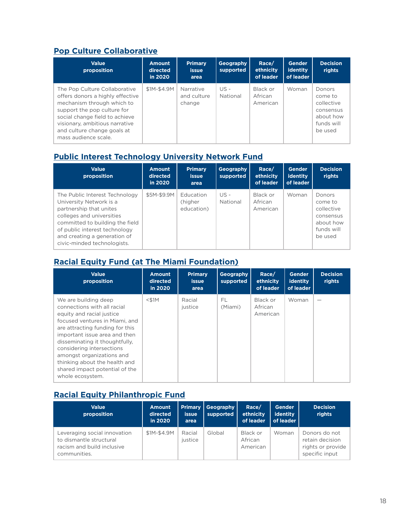## **[Pop Culture Collaborative](https://popcollab.org/)**

| <b>Value</b><br>proposition                                                                                                                                                                                                                               | <b>Amount</b><br>directed<br>in 2020 | <b>Primary</b><br><b>issue</b><br>area | Geography<br>supported | Race/<br>ethnicity<br>of leader | <b>Gender</b><br>identity<br>of leader | <b>Decision</b><br>rights                                                          |
|-----------------------------------------------------------------------------------------------------------------------------------------------------------------------------------------------------------------------------------------------------------|--------------------------------------|----------------------------------------|------------------------|---------------------------------|----------------------------------------|------------------------------------------------------------------------------------|
| The Pop Culture Collaborative<br>offers donors a highly effective<br>mechanism through which to<br>support the pop culture for<br>social change field to achieve<br>visionary, ambitious narrative<br>and culture change goals at<br>mass audience scale. | \$1M-\$4.9M                          | Narrative<br>and culture<br>change     | $US -$<br>National     | Black or<br>African<br>American | Woman                                  | Donors<br>come to<br>collective<br>consensus<br>about how<br>funds will<br>be used |

## **[Public Interest Technology University Network Fund](https://www.pit-un.uw.edu/)**

| <b>Value</b><br>proposition                                                                                                                                                                                                                          | <b>Amount</b><br>directed<br>in 2020 | <b>Primary</b><br>issue<br>area    | Geography<br>supported | Race/<br>ethnicity<br>of leader | <b>Gender</b><br>identity<br>of leader | <b>Decision</b><br>rights                                                          |
|------------------------------------------------------------------------------------------------------------------------------------------------------------------------------------------------------------------------------------------------------|--------------------------------------|------------------------------------|------------------------|---------------------------------|----------------------------------------|------------------------------------------------------------------------------------|
| The Public Interest Technology<br>University Network is a<br>partnership that unites<br>colleges and universities<br>committed to building the field<br>of public interest technology<br>and creating a generation of<br>civic-minded technologists. | \$5M-\$9.9M                          | Education<br>(higher<br>education) | US -<br>National       | Black or<br>African<br>American | Woman                                  | Donors<br>come to<br>collective<br>consensus<br>about how<br>funds will<br>be used |

## **[Racial Equity Fund \(at The Miami Foundation\)](https://miamifoundation.org/racialequityfund/)**

| <b>Value</b><br>proposition                                                                                                                                                                                                                                                                                                                                               | <b>Amount</b><br>directed<br>in 2020 | <b>Primary</b><br><b>issue</b><br>area | Geography<br>supported | Race/<br>ethnicity<br>of leader | <b>Gender</b><br><b>identity</b><br>of leader | <b>Decision</b><br>rights |
|---------------------------------------------------------------------------------------------------------------------------------------------------------------------------------------------------------------------------------------------------------------------------------------------------------------------------------------------------------------------------|--------------------------------------|----------------------------------------|------------------------|---------------------------------|-----------------------------------------------|---------------------------|
| We are building deep<br>connections with all racial<br>equity and racial justice<br>focused ventures in Miami, and<br>are attracting funding for this<br>important issue area and then<br>disseminating it thoughtfully,<br>considering intersections<br>amongst organizations and<br>thinking about the health and<br>shared impact potential of the<br>whole ecosystem. | $<$ \$1M                             | Racial<br>justice                      | FL<br>(Miami)          | Black or<br>African<br>American | Woman                                         |                           |

## **[Racial Equity Philanthropic Fund](https://echoinggreen.org/racial-equity-philanthropic-fund/)**

| <b>Value</b><br>proposition                                                                           | <b>Amount</b><br>directed<br>in 2020 | <b>Primary</b><br><b>issue</b><br>area | Geography<br>supported | Race/<br>ethnicity<br>of leader | <b>Gender</b><br>identity<br>of leader | <b>Decision</b><br>rights                                               |
|-------------------------------------------------------------------------------------------------------|--------------------------------------|----------------------------------------|------------------------|---------------------------------|----------------------------------------|-------------------------------------------------------------------------|
| Leveraging social innovation<br>to dismantle structural<br>racism and build inclusive<br>communities. | \$1M-\$4.9M                          | Racial<br>justice                      | Global                 | Black or<br>African<br>American | Woman                                  | Donors do not<br>retain decision<br>rights or provide<br>specific input |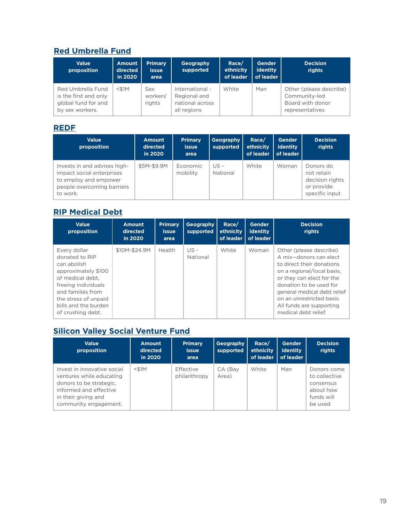## **[Red Umbrella Fund](https://www.redumbrellafund.org/)**

| <b>Value</b><br>proposition                                                          | <b>Amount</b><br>directed<br>in 2020 | <b>Primary</b><br><b>issue</b><br>area | Geography<br>supported                                            | Race/<br>ethnicity<br>of leader | <b>Gender</b><br>identity<br>of leader | <b>Decision</b><br>rights                                                       |
|--------------------------------------------------------------------------------------|--------------------------------------|----------------------------------------|-------------------------------------------------------------------|---------------------------------|----------------------------------------|---------------------------------------------------------------------------------|
| Red Umbrella Fund<br>is the first and only<br>global fund for and<br>by sex workers. | $<$ \$1M                             | Sex<br>workers'<br>rights              | International -<br>Regional and<br>national across<br>all regions | White                           | Man                                    | Other (please describe)<br>Community-led<br>Board with donor<br>representatives |

#### **[REDF](https://redf.org/)**

| <b>Value</b><br>proposition                                                                                                  | <b>Amount</b><br>directed<br>in 2020 | <b>Primary</b><br><b>issue</b><br>area | <b>Geography</b><br>supported | Race/<br>ethnicity<br>of leader | <b>Gender</b><br>identity<br>of leader | <b>Decision</b><br>rights                                                  |
|------------------------------------------------------------------------------------------------------------------------------|--------------------------------------|----------------------------------------|-------------------------------|---------------------------------|----------------------------------------|----------------------------------------------------------------------------|
| Invests in and advises high-<br>impact social enterprises<br>to employ and empower<br>people overcoming barriers<br>to work. | \$5M-\$9.9M                          | Economic<br>mobility                   | US -<br>National              | White                           | Woman                                  | Donors do<br>not retain<br>decision rights<br>or provide<br>specific input |

## **[RIP Medical Debt](https://ripmedicaldebt.org/)**

| <b>Value</b><br>proposition                                                                                                                                                                               | <b>Amount</b><br>directed<br>in 2020 | <b>Primary</b><br><b>issue</b><br>area | Geography<br>supported | Race/<br>ethnicity<br>of leader | <b>Gender</b><br>identity<br>of leader | <b>Decision</b><br>rights                                                                                                                                                                                                                                                            |
|-----------------------------------------------------------------------------------------------------------------------------------------------------------------------------------------------------------|--------------------------------------|----------------------------------------|------------------------|---------------------------------|----------------------------------------|--------------------------------------------------------------------------------------------------------------------------------------------------------------------------------------------------------------------------------------------------------------------------------------|
| Every dollar<br>donated to RIP<br>can abolish<br>approximately \$100<br>of medical debt.<br>freeing individuals<br>and families from<br>the stress of unpaid<br>bills and the burden<br>of crushing debt. | \$10M-\$24.9M                        | Health                                 | US -<br>National       | White                           | Woman                                  | Other (please describe)<br>A mix-donors can elect<br>to direct their donations<br>on a regional/local basis,<br>or they can elect for the<br>donation to be used for<br>general medical debt relief<br>on an unrestricted basis.<br>All funds are supporting<br>medical debt relief. |

## **[Silicon Valley Social Venture Fund](https://www.sv2.org/)**

| <b>Value</b><br>proposition                                                                                                                                  | <b>Amount</b><br>directed<br>in 2020 | <b>Primary</b><br><b>issue</b><br>area | Geography<br>supported | Race/<br><b>ethnicity</b><br>of leader | <b>Gender</b><br>identity<br>of leader | <b>Decision</b><br>rights                                                       |
|--------------------------------------------------------------------------------------------------------------------------------------------------------------|--------------------------------------|----------------------------------------|------------------------|----------------------------------------|----------------------------------------|---------------------------------------------------------------------------------|
| Invest in innovative social<br>ventures while educating<br>donors to be strategic.<br>informed and effective<br>in their giving and<br>community engagement. | $<$ \$1M                             | Effective<br>philanthropy              | CA (Bay<br>Area)       | White                                  | Man                                    | Donors come<br>to collective<br>consensus<br>about how<br>funds will<br>be used |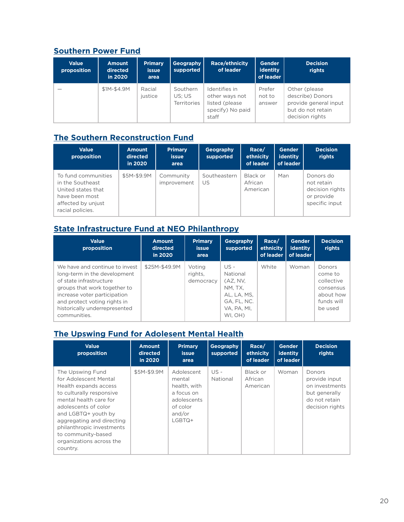## **[Southern Power Fund](https://resourcegeneration.org/donate-to-the-southern-power-fund/)**

| <b>Value</b><br>proposition | <b>Amount</b><br>directed<br>in 2020 | <b>Primary</b><br><b>issue</b><br>area | Geography<br>supported                   | <b>Race/ethnicity</b><br>of leader                                              | <b>Gender</b><br>identity<br>of leader | <b>Decision</b><br>rights                                                                           |
|-----------------------------|--------------------------------------|----------------------------------------|------------------------------------------|---------------------------------------------------------------------------------|----------------------------------------|-----------------------------------------------------------------------------------------------------|
|                             | \$1M-\$4.9M                          | Racial<br>iustice                      | Southern<br>US: US<br><b>Territories</b> | Identifies in<br>other ways not<br>listed (please)<br>specify) No paid<br>staff | Prefer<br>not to<br>answer             | Other (please)<br>describe) Donors<br>provide general input<br>but do not retain<br>decision rights |

## **[The Southern Reconstruction Fund](https://www.southernreconstructionfund.org/)**

| <b>Value</b><br>proposition                                                                                               | <b>Amount</b><br>directed<br>in 2020 | <b>Primary</b><br><b>issue</b><br>area | <b>Geography</b><br>supported | Race/<br>ethnicity<br>of leader | Gender<br>identity<br>of leader | <b>Decision</b><br>rights                                                  |
|---------------------------------------------------------------------------------------------------------------------------|--------------------------------------|----------------------------------------|-------------------------------|---------------------------------|---------------------------------|----------------------------------------------------------------------------|
| To fund communities<br>in the Southeast<br>United states that<br>have been most<br>affected by unjust<br>racial policies. | \$5M-\$9.9M                          | Community<br>improvement               | Southeastern<br>US            | Black or<br>African<br>American | Man                             | Donors do<br>not retain<br>decision rights<br>or provide<br>specific input |

## **[State Infrastructure Fund at NEO Philanthropy](https://neophilanthropy.org/collaborative-funds/state-infrastructure-fund/)**

| <b>Value</b><br>proposition                                                                                                                                                                                                                | <b>Amount</b><br>directed<br>in 2020 | <b>Primary</b><br><b>issue</b><br>area | Geography<br>supported                                                                            | Race/<br>ethnicity<br>of leader | <b>Gender</b><br>identity<br>of leader | <b>Decision</b><br>rights                                                          |
|--------------------------------------------------------------------------------------------------------------------------------------------------------------------------------------------------------------------------------------------|--------------------------------------|----------------------------------------|---------------------------------------------------------------------------------------------------|---------------------------------|----------------------------------------|------------------------------------------------------------------------------------|
| We have and continue to invest<br>long-term in the development<br>of state infrastructure<br>groups that work together to<br>increase voter participation<br>and protect voting rights in<br>historically underrepresented<br>communities. | \$25M-\$49.9M                        | Voting<br>rights.<br>democracy         | $US -$<br>National<br>(AZ, NV,<br>NM. TX.<br>AL, LA, MS,<br>GA, FL, NC.<br>VA, PA, MI,<br>WI. OH) | White                           | Woman                                  | Donors<br>come to<br>collective<br>consensus<br>about how<br>funds will<br>be used |

## **[The Upswing Fund for Adolesent Mental Health](https://theupswingfund.org/)**

| <b>Value</b><br>proposition                                                                                                                                                                                                                                                                     | <b>Amount</b><br>directed<br>in 2020 | <b>Primary</b><br><b>issue</b><br>area                                                              | Geography<br>supported | Race/<br>ethnicity<br>of leader | Gender<br>identity<br>of leader | <b>Decision</b><br>rights                                                                      |
|-------------------------------------------------------------------------------------------------------------------------------------------------------------------------------------------------------------------------------------------------------------------------------------------------|--------------------------------------|-----------------------------------------------------------------------------------------------------|------------------------|---------------------------------|---------------------------------|------------------------------------------------------------------------------------------------|
| The Upswing Fund<br>for Adolescent Mental<br>Health expands access<br>to culturally responsive<br>mental health care for<br>adolescents of color<br>and LGBTQ+ youth by<br>aggregating and directing<br>philanthropic investments<br>to community-based<br>organizations across the<br>country. | \$5M-\$9.9M                          | Adolescent<br>mental<br>health, with<br>a focus on<br>adolescents<br>of color<br>and/or<br>$LGBTQ+$ | $US -$<br>National     | Black or<br>African<br>American | Woman                           | Donors<br>provide input<br>on investments<br>but generally<br>do not retain<br>decision rights |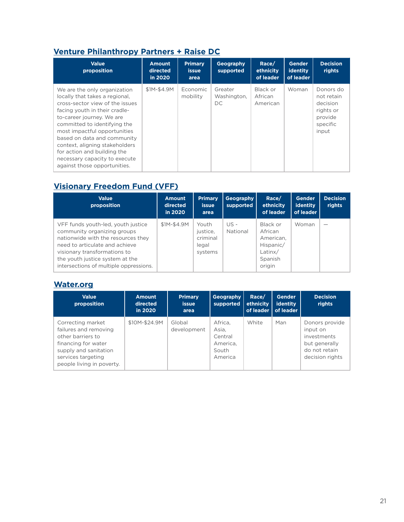## **[Venture Philanthropy Partners + Raise DC](https://www.raisedc.org/)**

| <b>Value</b><br>proposition                                                                                                                                                                                                                                                                                                                                                                      | <b>Amount</b><br>directed<br>in 2020 | <b>Primary</b><br>issue.<br>area | Geography<br>supported        | Race/<br>ethnicity<br>of leader | Gender<br><b>identity</b><br>of leader | <b>Decision</b><br>rights                                                        |
|--------------------------------------------------------------------------------------------------------------------------------------------------------------------------------------------------------------------------------------------------------------------------------------------------------------------------------------------------------------------------------------------------|--------------------------------------|----------------------------------|-------------------------------|---------------------------------|----------------------------------------|----------------------------------------------------------------------------------|
| We are the only organization<br>locally that takes a regional.<br>cross-sector view of the issues<br>facing youth in their cradle-<br>to-career journey. We are<br>committed to identifying the<br>most impactful opportunities<br>based on data and community<br>context, aligning stakeholders<br>for action and building the<br>necessary capacity to execute<br>against those opportunities. | \$1M-\$4.9M                          | Economic<br>mobility             | Greater<br>Washington,<br>DC. | Black or<br>African<br>American | Woman                                  | Donors do<br>not retain<br>decision<br>rights or<br>provide<br>specific<br>input |

## **[Visionary Freedom Fund \(VFF\)](https://affund.org/visionaryfreedomfund/)**

| <b>Value</b><br>proposition                                                                                                                                                                                                                            | <b>Amount</b><br>directed<br>in 2020 | <b>Primary</b><br><i>issue</i><br>area            | Geography<br>supported | Race/<br>ethnicity<br>of leader                                               | <b>Gender</b><br>identity<br>of leader | <b>Decision</b><br>rights |
|--------------------------------------------------------------------------------------------------------------------------------------------------------------------------------------------------------------------------------------------------------|--------------------------------------|---------------------------------------------------|------------------------|-------------------------------------------------------------------------------|----------------------------------------|---------------------------|
| VFF funds youth-led, youth justice<br>community organizing groups<br>nationwide with the resources they<br>need to articulate and achieve<br>visionary transformations to<br>the youth justice system at the<br>intersections of multiple oppressions. | \$1M-\$4.9M                          | Youth<br>justice.<br>criminal<br>legal<br>systems | $US -$<br>National     | Black or<br>African<br>American.<br>Hispanic/<br>Latinx/<br>Spanish<br>origin | Woman                                  | –                         |

#### **[Water.org](https://water.org/)**

| <b>Value</b><br>proposition                                                                                                                                        | Amount<br>directed<br>in 2020 | <b>Primary</b><br><b>issue</b><br>area | Geography<br>supported                                      | Race/<br>ethnicity | Gender<br><b>identity</b><br>of leader   of leader | <b>Decision</b><br>rights                                                                      |
|--------------------------------------------------------------------------------------------------------------------------------------------------------------------|-------------------------------|----------------------------------------|-------------------------------------------------------------|--------------------|----------------------------------------------------|------------------------------------------------------------------------------------------------|
| Correcting market<br>failures and removing<br>other barriers to<br>financing for water<br>supply and sanitation<br>services targeting<br>people living in poverty. | \$10M-\$24.9M                 | Global<br>development                  | Africa,<br>Asia,<br>Central<br>America.<br>South<br>America | White              | Man                                                | Donors provide<br>input on<br>investments<br>but generally<br>do not retain<br>decision rights |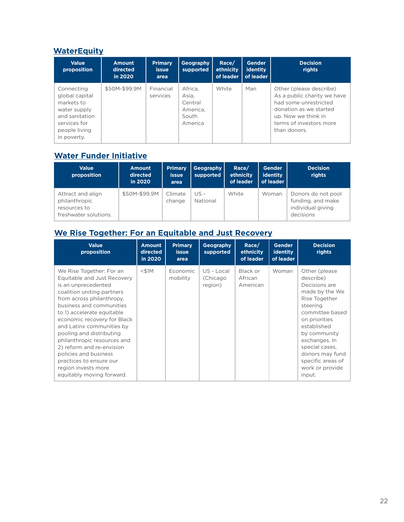#### **[WaterEquity](https://waterequity.org/)**

| <b>Value</b><br>proposition                                                                                                  | <b>Amount</b><br>directed<br>in 2020 | <b>Primary</b><br><i>issue</i><br>area | Geography<br>supported                                      | Race/<br>ethnicity<br>of leader | <b>Gender</b><br><b>identity</b><br>of leader | <b>Decision</b><br>rights                                                                                                                                                   |
|------------------------------------------------------------------------------------------------------------------------------|--------------------------------------|----------------------------------------|-------------------------------------------------------------|---------------------------------|-----------------------------------------------|-----------------------------------------------------------------------------------------------------------------------------------------------------------------------------|
| Connecting<br>global capital<br>markets to<br>water supply<br>and sanitation<br>services for<br>people living<br>in poverty. | \$50M-\$99.9M                        | Financial<br>services                  | Africa.<br>Asia.<br>Central<br>America.<br>South<br>America | White                           | Man                                           | Other (please describe)<br>As a public charity we have<br>had some unrestricted<br>donation as we started<br>up. Now we think in<br>terms of investors more<br>than donors. |

#### **[Water Funder Initiative](https://www.waterfunder.org/)**

| <b>Value</b><br>proposition                                                 | <b>Amount</b><br>directed<br>in 2020 | <b>Primary</b><br><b>issue</b><br>area | Geography<br>supported | Race/<br>ethnicity<br>of leader | <b>Gender</b><br>identity<br>of leader | <b>Decision</b><br>rights                                                 |
|-----------------------------------------------------------------------------|--------------------------------------|----------------------------------------|------------------------|---------------------------------|----------------------------------------|---------------------------------------------------------------------------|
| Attract and align<br>philanthropic<br>resources to<br>freshwater solutions. | \$50M-\$99.9M                        | Climate<br>change                      | $US -$<br>National     | White                           | Woman                                  | Donors do not pool<br>funding, and make<br>individual giving<br>decisions |

## **[We Rise Together: For an Equitable and Just Recovery](https://wrtogether.org/)**

| <b>Value</b><br>proposition                                                                                                                                                                                                                                                                                                                                                                                                                                     | <b>Amount</b><br>directed<br>in 2020 | <b>Primary</b><br><i>issue</i><br>area | Geography<br>supported            | Race/<br>ethnicity<br>of leader | <b>Gender</b><br>identity<br>of leader | <b>Decision</b><br>rights                                                                                                                                                                                                                                              |
|-----------------------------------------------------------------------------------------------------------------------------------------------------------------------------------------------------------------------------------------------------------------------------------------------------------------------------------------------------------------------------------------------------------------------------------------------------------------|--------------------------------------|----------------------------------------|-----------------------------------|---------------------------------|----------------------------------------|------------------------------------------------------------------------------------------------------------------------------------------------------------------------------------------------------------------------------------------------------------------------|
| We Rise Together: For an<br>Equitable and Just Recovery<br>is an unprecedented<br>coalition uniting partners<br>from across philanthropy.<br>business and communities<br>to 1) accelerate equitable<br>economic recovery for Black<br>and Latinx communities by<br>pooling and distributing<br>philanthropic resources and<br>2) reform and re-envision<br>policies and business<br>practices to ensure our<br>region invests more<br>equitably moving forward. | $<$ \$1M                             | Economic<br>mobility                   | US - Local<br>(Chicago<br>region) | Black or<br>African<br>American | Woman                                  | Other (please)<br>describe)<br>Decisions are<br>made by the We<br>Rise Together<br>steering<br>committee based<br>on priorities<br>established<br>by community<br>exchanges. In<br>special cases.<br>donors may fund<br>specific areas of<br>work or provide<br>input. |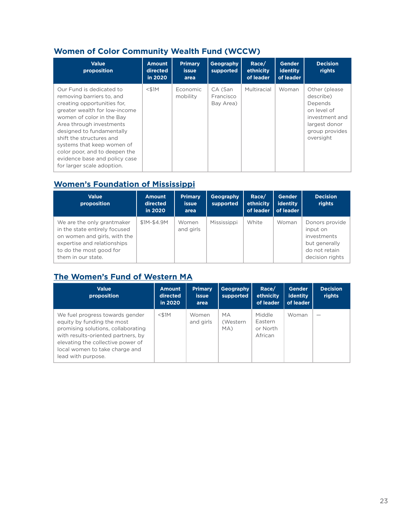## **Women of Color Community Wealth Fund (WCCW)**

| <b>Value</b><br>proposition                                                                                                                                                                                                                                                                                                                                           | <b>Amount</b><br>directed<br>in 2020 | <b>Primary</b><br><i>issue</i><br>area | Geography<br>supported            | Race/<br>ethnicity<br>of leader | <b>Gender</b><br>identity<br>of leader | <b>Decision</b><br>rights                                                                                               |
|-----------------------------------------------------------------------------------------------------------------------------------------------------------------------------------------------------------------------------------------------------------------------------------------------------------------------------------------------------------------------|--------------------------------------|----------------------------------------|-----------------------------------|---------------------------------|----------------------------------------|-------------------------------------------------------------------------------------------------------------------------|
| Our Fund is dedicated to<br>removing barriers to, and<br>creating opportunities for,<br>greater wealth for low-income<br>women of color in the Bay<br>Area through investments<br>designed to fundamentally<br>shift the structures and<br>systems that keep women of<br>color poor, and to deepen the<br>evidence base and policy case<br>for larger scale adoption. | $<$ \$1M                             | Economic<br>mobility                   | CA (San<br>Francisco<br>Bay Area) | Multiracial                     | Woman                                  | Other (please)<br>describe)<br>Depends<br>on level of<br>investment and<br>largest donor<br>group provides<br>oversight |

## **[Women's Foundation of Mississippi](https://www.womensfoundationms.org/)**

| <b>Value</b><br>proposition                                                                                                                                                 | Amount<br>directed<br>in 2020 | <b>Primary</b><br><b>issue</b><br>area | Geography<br>supported | Race/<br>ethnicity<br>of leader | <b>Gender</b><br><b>identity</b><br>of leader | <b>Decision</b><br>rights                                                                      |
|-----------------------------------------------------------------------------------------------------------------------------------------------------------------------------|-------------------------------|----------------------------------------|------------------------|---------------------------------|-----------------------------------------------|------------------------------------------------------------------------------------------------|
| We are the only grantmaker<br>in the state entirely focused<br>on women and girls, with the<br>expertise and relationships<br>to do the most good for<br>them in our state. | \$1M-\$4.9M                   | Women<br>and girls                     | Mississippi            | White                           | Woman                                         | Donors provide<br>input on<br>investments<br>but generally<br>do not retain<br>decision rights |

## **[The Women's Fund of Western MA](https://www.mywomensfund.org/give/)**

| <b>Value</b><br>proposition                                                                                                                                                                                                            | <b>Amount</b><br>directed<br>in 2020 | <b>Primary</b><br><b>issue</b><br>area | <b>Geography</b><br>supported | Race/<br>ethnicity<br>of leader          | <b>Gender</b><br>identity<br>of leader | <b>Decision</b><br>rights |
|----------------------------------------------------------------------------------------------------------------------------------------------------------------------------------------------------------------------------------------|--------------------------------------|----------------------------------------|-------------------------------|------------------------------------------|----------------------------------------|---------------------------|
| We fuel progress towards gender<br>equity by funding the most<br>promising solutions, collaborating<br>with results-oriented partners, by<br>elevating the collective power of<br>local women to take charge and<br>lead with purpose. | $<$ \$1M                             | Women<br>and girls                     | МA<br>(Western<br>MA)         | Middle<br>Eastern<br>or North<br>African | Woman                                  |                           |